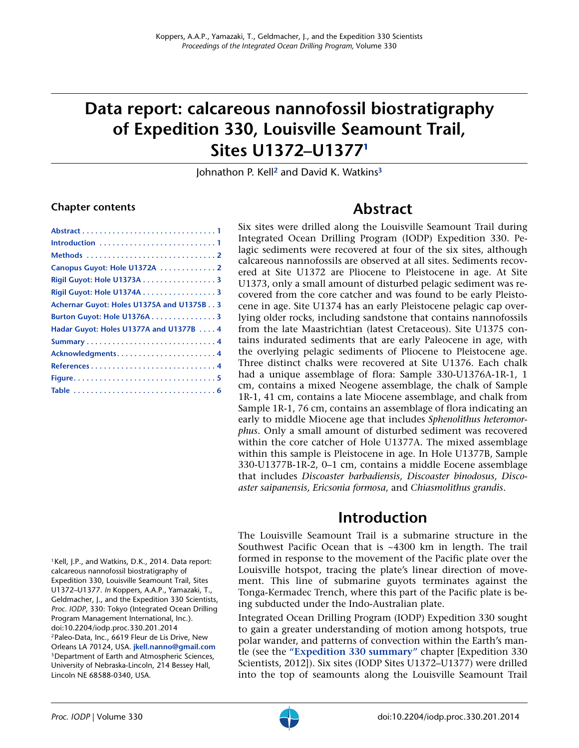# **Data report: calcareous nannofossil biostratigraphy of Expedition 330, Louisville Seamount Trail, Sites U1372–U1377[1](#page-0-0)**

Johnathon P. Kell**[2](#page-0-1)** and David K. Watkins**[3](#page-0-2)**

#### **Chapter contents**

| Canopus Guyot: Hole U1372A 2                 |
|----------------------------------------------|
| Rigil Guyot: Hole U1373A 3                   |
| Rigil Guyot: Hole U1374A 3                   |
| Achernar Guyot: Holes U1375A and U1375B. . 3 |
| Burton Guyot: Hole U1376A3                   |
| Hadar Guyot: Holes U1377A and U1377B 4       |
|                                              |
|                                              |
|                                              |
|                                              |
|                                              |
|                                              |

**Abstract**

<span id="page-0-3"></span>Six sites were drilled along the Louisville Seamount Trail during Integrated Ocean Drilling Program (IODP) Expedition 330. Pelagic sediments were recovered at four of the six sites, although calcareous nannofossils are observed at all sites. Sediments recovered at Site U1372 are Pliocene to Pleistocene in age. At Site U1373, only a small amount of disturbed pelagic sediment was recovered from the core catcher and was found to be early Pleistocene in age. Site U1374 has an early Pleistocene pelagic cap overlying older rocks, including sandstone that contains nannofossils from the late Maastrichtian (latest Cretaceous). Site U1375 contains indurated sediments that are early Paleocene in age, with the overlying pelagic sediments of Pliocene to Pleistocene age. Three distinct chalks were recovered at Site U1376. Each chalk had a unique assemblage of flora: Sample 330-U1376A-1R-1, 1 cm, contains a mixed Neogene assemblage, the chalk of Sample 1R-1, 41 cm, contains a late Miocene assemblage, and chalk from Sample 1R-1, 76 cm, contains an assemblage of flora indicating an early to middle Miocene age that includes *Sphenolithus heteromorphus*. Only a small amount of disturbed sediment was recovered within the core catcher of Hole U1377A. The mixed assemblage within this sample is Pleistocene in age. In Hole U1377B, Sample 330-U1377B-1R-2, 0–1 cm, contains a middle Eocene assemblage that includes *Discoaster barbadiensis, Discoaster binodosus, Discoaster saipanensis, Ericsonia formosa*, and *Chiasmolithus grandis*.

#### **Introduction**

<span id="page-0-4"></span>The Louisville Seamount Trail is a submarine structure in the Southwest Pacific Ocean that is ~4300 km in length. The trail formed in response to the movement of the Pacific plate over the Louisville hotspot, tracing the plate's linear direction of movement. This line of submarine guyots terminates against the Tonga-Kermadec Trench, where this part of the Pacific plate is being subducted under the Indo-Australian plate.

Integrated Ocean Drilling Program (IODP) Expedition 330 sought to gain a greater understanding of motion among hotspots, true polar wander, and patterns of convection within the Earth's mantle (see the **"Expedition 330 summary"** chapter [Expedition 330 Scientists, 2012]). Six sites (IODP Sites U1372–U1377) were drilled into the top of seamounts along the Louisville Seamount Trail

<span id="page-0-2"></span><span id="page-0-1"></span><span id="page-0-0"></span><sup>1</sup>Kell, J.P., and Watkins, D.K., 2014. Data report: calcareous nannofossil biostratigraphy of Expedition 330, Louisville Seamount Trail, Sites U1372–U1377. *In* Koppers, A.A.P., Yamazaki, T., Geldmacher, J., and the Expedition 330 Scientists, *Proc. IODP,* 330: Tokyo (Integrated Ocean Drilling Program Management International, Inc.). doi:10.2204/iodp.proc.330.201.2014 2Paleo-Data, Inc., 6619 Fleur de Lis Drive, New Orleans LA 70124, USA. **[jkell.nanno@gmail.com](mailto:jkell.nanno@gmail.com)** 3Department of Earth and Atmospheric Sciences, University of Nebraska-Lincoln, 214 Bessey Hall, Lincoln NE 68588-0340, USA.

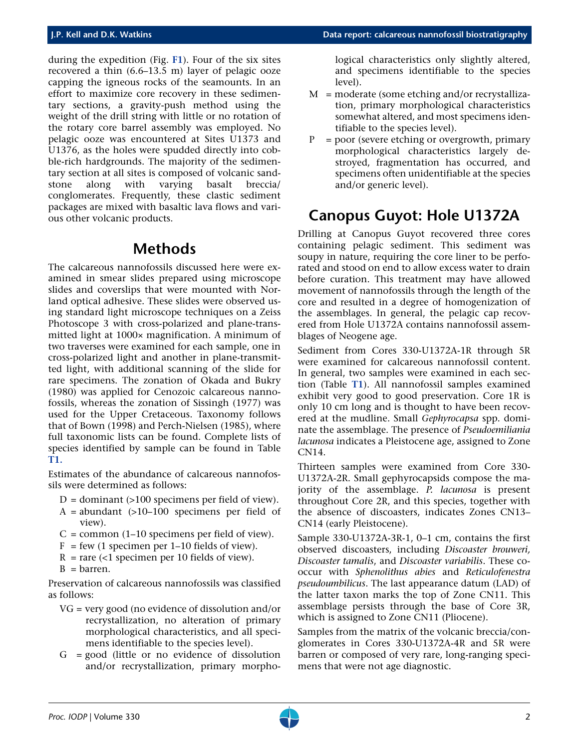during the expedition (Fig. **[F1](#page-4-0)**). Four of the six sites recovered a thin (6.6–13.5 m) layer of pelagic ooze capping the igneous rocks of the seamounts. In an effort to maximize core recovery in these sedimentary sections, a gravity-push method using the weight of the drill string with little or no rotation of the rotary core barrel assembly was employed. No pelagic ooze was encountered at Sites U1373 and U1376, as the holes were spudded directly into cobble-rich hardgrounds. The majority of the sedimentary section at all sites is composed of volcanic sandstone along with varying basalt breccia/ conglomerates. Frequently, these clastic sediment packages are mixed with basaltic lava flows and various other volcanic products.

#### **Methods**

<span id="page-1-0"></span>The calcareous nannofossils discussed here were examined in smear slides prepared using microscope slides and coverslips that were mounted with Norland optical adhesive. These slides were observed using standard light microscope techniques on a Zeiss Photoscope 3 with cross-polarized and plane-transmitted light at 1000× magnification. A minimum of two traverses were examined for each sample, one in cross-polarized light and another in plane-transmitted light, with additional scanning of the slide for rare specimens. The zonation of Okada and Bukry (1980) was applied for Cenozoic calcareous nannofossils, whereas the zonation of Sissingh (1977) was used for the Upper Cretaceous. Taxonomy follows that of Bown (1998) and Perch-Nielsen (1985), where full taxonomic lists can be found. Complete lists of species identified by sample can be found in Table **[T1.](#page-5-0)**

Estimates of the abundance of calcareous nannofossils were determined as follows:

- $D =$  dominant (>100 specimens per field of view).
- $A =$  abundant (>10–100 specimens per field of view).
- $C =$  common (1–10 specimens per field of view).
- $F = few (1 specimen per 1–10 fields of view).$
- $R =$  rare (<1 specimen per 10 fields of view).
- $B = barrier$ .

Preservation of calcareous nannofossils was classified as follows:

- VG = very good (no evidence of dissolution and/or recrystallization, no alteration of primary morphological characteristics, and all specimens identifiable to the species level).
- $G = good$  (little or no evidence of dissolution and/or recrystallization, primary morpho-

logical characteristics only slightly altered, and specimens identifiable to the species level).

- $M =$  moderate (some etching and/or recrystallization, primary morphological characteristics somewhat altered, and most specimens identifiable to the species level).
- $P = poor$  (severe etching or overgrowth, primary morphological characteristics largely destroyed, fragmentation has occurred, and specimens often unidentifiable at the species and/or generic level).

### <span id="page-1-1"></span>**Canopus Guyot: Hole U1372A**

Drilling at Canopus Guyot recovered three cores containing pelagic sediment. This sediment was soupy in nature, requiring the core liner to be perforated and stood on end to allow excess water to drain before curation. This treatment may have allowed movement of nannofossils through the length of the core and resulted in a degree of homogenization of the assemblages. In general, the pelagic cap recovered from Hole U1372A contains nannofossil assemblages of Neogene age.

Sediment from Cores 330-U1372A-1R through 5R were examined for calcareous nannofossil content. In general, two samples were examined in each section (Table **[T1](#page-5-0)**). All nannofossil samples examined exhibit very good to good preservation. Core 1R is only 10 cm long and is thought to have been recovered at the mudline. Small *Gephyrocapsa* spp. dominate the assemblage. The presence of *Pseudoemiliania lacunosa* indicates a Pleistocene age, assigned to Zone CN14.

Thirteen samples were examined from Core 330- U1372A-2R. Small gephyrocapsids compose the majority of the assemblage. *P. lacunosa* is present throughout Core 2R, and this species, together with the absence of discoasters, indicates Zones CN13– CN14 (early Pleistocene).

Sample 330-U1372A-3R-1, 0–1 cm, contains the first observed discoasters, including *Discoaster brouweri, Discoaster tamalis*, and *Discoaster variabilis*. These cooccur with *Sphenolithus abies* and *Reticulofenestra pseudoumbilicus*. The last appearance datum (LAD) of the latter taxon marks the top of Zone CN11. This assemblage persists through the base of Core 3R, which is assigned to Zone CN11 (Pliocene).

Samples from the matrix of the volcanic breccia/conglomerates in Cores 330-U1372A-4R and 5R were barren or composed of very rare, long-ranging specimens that were not age diagnostic.

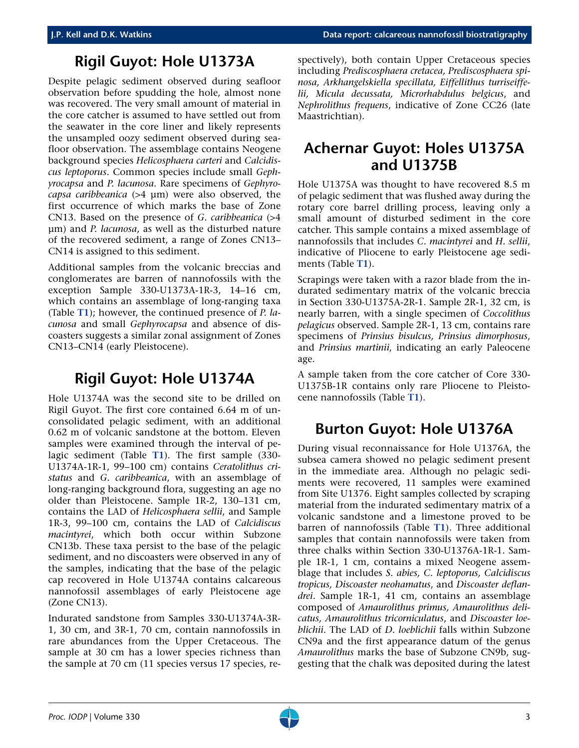#### **Rigil Guyot: Hole U1373A**

<span id="page-2-3"></span>Despite pelagic sediment observed during seafloor observation before spudding the hole, almost none was recovered. The very small amount of material in the core catcher is assumed to have settled out from the seawater in the core liner and likely represents the unsampled oozy sediment observed during seafloor observation. The assemblage contains Neogene background species *Helicosphaera carteri* and *Calcidiscus leptoporus*. Common species include small *Gephyrocapsa* and *P. lacunosa*. Rare specimens of *Gephyrocapsa caribbeanica* (>4 µm) were also observed, the first occurrence of which marks the base of Zone CN13. Based on the presence of *G. caribbeanica* (>4 µm) and *P. lacunosa*, as well as the disturbed nature of the recovered sediment, a range of Zones CN13– CN14 is assigned to this sediment.

Additional samples from the volcanic breccias and conglomerates are barren of nannofossils with the exception Sample 330-U1373A-1R-3, 14–16 cm, which contains an assemblage of long-ranging taxa (Table **[T1](#page-5-0)**); however, the continued presence of *P. lacunosa* and small *Gephyrocapsa* and absence of discoasters suggests a similar zonal assignment of Zones CN13–CN14 (early Pleistocene).

### **Rigil Guyot: Hole U1374A**

<span id="page-2-0"></span>Hole U1374A was the second site to be drilled on Rigil Guyot. The first core contained 6.64 m of unconsolidated pelagic sediment, with an additional 0.62 m of volcanic sandstone at the bottom. Eleven samples were examined through the interval of pelagic sediment (Table **[T1](#page-5-0)**). The first sample (330- U1374A-1R-1, 99–100 cm) contains *Ceratolithus cristatus* and *G. caribbeanica*, with an assemblage of long-ranging background flora, suggesting an age no older than Pleistocene. Sample 1R-2, 130–131 cm, contains the LAD of *Helicosphaera sellii*, and Sample 1R-3, 99–100 cm, contains the LAD of *Calcidiscus macintyrei*, which both occur within Subzone CN13b. These taxa persist to the base of the pelagic sediment, and no discoasters were observed in any of the samples, indicating that the base of the pelagic cap recovered in Hole U1374A contains calcareous nannofossil assemblages of early Pleistocene age (Zone CN13).

Indurated sandstone from Samples 330-U1374A-3R-1, 30 cm, and 3R-1, 70 cm, contain nannofossils in rare abundances from the Upper Cretaceous. The sample at 30 cm has a lower species richness than the sample at 70 cm (11 species versus 17 species, respectively), both contain Upper Cretaceous species including *Prediscosphaera cretacea, Prediscosphaera spinosa, Arkhangelskiella specillata, Eiffellithus turriseiffelii, Micula decussata, Microrhabdulus belgicus*, and *Nephrolithus frequens*, indicative of Zone CC26 (late Maastrichtian).

#### <span id="page-2-1"></span>**Achernar Guyot: Holes U1375A and U1375B**

Hole U1375A was thought to have recovered 8.5 m of pelagic sediment that was flushed away during the rotary core barrel drilling process, leaving only a small amount of disturbed sediment in the core catcher. This sample contains a mixed assemblage of nannofossils that includes *C. macintyrei* and *H. sellii*, indicative of Pliocene to early Pleistocene age sediments (Table **[T1](#page-5-0)**).

Scrapings were taken with a razor blade from the indurated sedimentary matrix of the volcanic breccia in Section 330-U1375A-2R-1. Sample 2R-1, 32 cm, is nearly barren, with a single specimen of *Coccolithus pelagicus* observed. Sample 2R-1, 13 cm, contains rare specimens of *Prinsius bisulcus, Prinsius dimorphosus*, and *Prinsius martinii*, indicating an early Paleocene age.

A sample taken from the core catcher of Core 330- U1375B-1R contains only rare Pliocene to Pleistocene nannofossils (Table **[T1](#page-5-0)**).

#### <span id="page-2-2"></span>**Burton Guyot: Hole U1376A**

During visual reconnaissance for Hole U1376A, the subsea camera showed no pelagic sediment present in the immediate area. Although no pelagic sediments were recovered, 11 samples were examined from Site U1376. Eight samples collected by scraping material from the indurated sedimentary matrix of a volcanic sandstone and a limestone proved to be barren of nannofossils (Table **[T1](#page-5-0)**). Three additional samples that contain nannofossils were taken from three chalks within Section 330-U1376A-1R-1. Sample 1R-1, 1 cm, contains a mixed Neogene assemblage that includes *S. abies, C. leptoporus, Calcidiscus tropicus, Discoaster neohamatus*, and *Discoaster deflandrei*. Sample 1R-1, 41 cm, contains an assemblage composed of *Amaurolithus primus, Amaurolithus delicatus, Amaurolithus tricorniculatus*, and *Discoaster loeblichii*. The LAD of *D. loeblichii* falls within Subzone CN9a and the first appearance datum of the genus *Amaurolithus* marks the base of Subzone CN9b, suggesting that the chalk was deposited during the latest

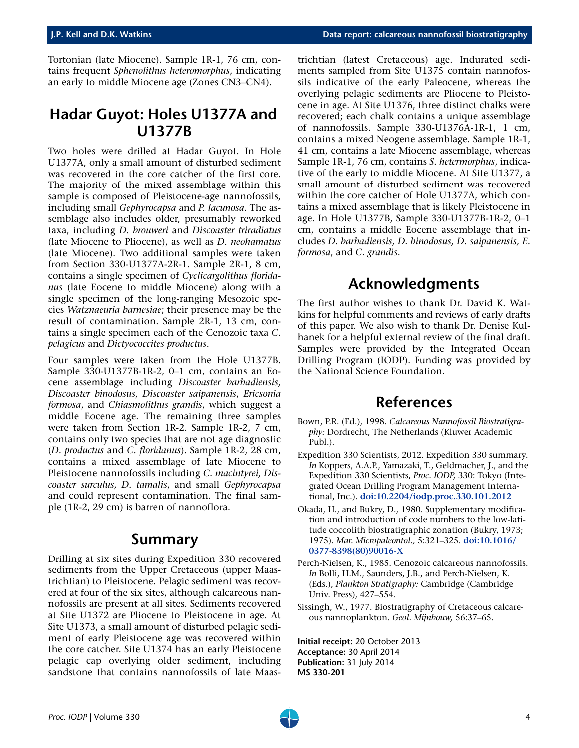Tortonian (late Miocene). Sample 1R-1, 76 cm, contains frequent *Sphenolithus heteromorphus*, indicating an early to middle Miocene age (Zones CN3–CN4).

#### <span id="page-3-0"></span>**Hadar Guyot: Holes U1377A and U1377B**

Two holes were drilled at Hadar Guyot. In Hole U1377A, only a small amount of disturbed sediment was recovered in the core catcher of the first core. The majority of the mixed assemblage within this sample is composed of Pleistocene-age nannofossils, including small *Gephyrocapsa* and *P. lacunosa*. The assemblage also includes older, presumably reworked taxa, including *D. brouweri* and *Discoaster triradiatus* (late Miocene to Pliocene), as well as *D. neohamatus* (late Miocene). Two additional samples were taken from Section 330-U1377A-2R-1. Sample 2R-1, 8 cm, contains a single specimen of *Cyclicargolithus floridanus* (late Eocene to middle Miocene) along with a single specimen of the long-ranging Mesozoic species *Watznaeuria barnesiae*; their presence may be the result of contamination. Sample 2R-1, 13 cm, contains a single specimen each of the Cenozoic taxa *C. pelagicus* and *Dictyococcites productus*.

Four samples were taken from the Hole U1377B. Sample 330-U1377B-1R-2, 0–1 cm, contains an Eocene assemblage including *Discoaster barbadiensis, Discoaster binodosus, Discoaster saipanensis*, *Ericsonia formosa*, and *Chiasmolithus grandis*, which suggest a middle Eocene age. The remaining three samples were taken from Section 1R-2. Sample 1R-2, 7 cm, contains only two species that are not age diagnostic (*D. productus* and *C. floridanus*). Sample 1R-2, 28 cm, contains a mixed assemblage of late Miocene to Pleistocene nannofossils including *C. macintyrei, Discoaster surculus, D. tamalis*, and small *Gephyrocapsa* and could represent contamination. The final sample (1R-2, 29 cm) is barren of nannoflora.

#### **Summary**

<span id="page-3-1"></span>Drilling at six sites during Expedition 330 recovered sediments from the Upper Cretaceous (upper Maastrichtian) to Pleistocene. Pelagic sediment was recovered at four of the six sites, although calcareous nannofossils are present at all sites. Sediments recovered at Site U1372 are Pliocene to Pleistocene in age. At Site U1373, a small amount of disturbed pelagic sediment of early Pleistocene age was recovered within the core catcher. Site U1374 has an early Pleistocene pelagic cap overlying older sediment, including sandstone that contains nannofossils of late Maastrichtian (latest Cretaceous) age. Indurated sediments sampled from Site U1375 contain nannofossils indicative of the early Paleocene, whereas the overlying pelagic sediments are Pliocene to Pleistocene in age. At Site U1376, three distinct chalks were recovered; each chalk contains a unique assemblage of nannofossils. Sample 330-U1376A-1R-1, 1 cm, contains a mixed Neogene assemblage. Sample 1R-1, 41 cm, contains a late Miocene assemblage, whereas Sample 1R-1, 76 cm, contains *S. hetermorphus*, indicative of the early to middle Miocene. At Site U1377, a small amount of disturbed sediment was recovered within the core catcher of Hole U1377A, which contains a mixed assemblage that is likely Pleistocene in age. In Hole U1377B, Sample 330-U1377B-1R-2, 0–1 cm, contains a middle Eocene assemblage that includes *D. barbadiensis, D. binodosus, D. saipanensis, E. formosa*, and *C. grandis*.

## **Acknowledgments**

<span id="page-3-2"></span>The first author wishes to thank Dr. David K. Watkins for helpful comments and reviews of early drafts of this paper. We also wish to thank Dr. Denise Kulhanek for a helpful external review of the final draft. Samples were provided by the Integrated Ocean Drilling Program (IODP). Funding was provided by the National Science Foundation.

#### **References**

- <span id="page-3-3"></span>Bown, P.R. (Ed.), 1998. *Calcareous Nannofossil Biostratigraphy:* Dordrecht, The Netherlands (Kluwer Academic Publ.).
- Expedition 330 Scientists, 2012. Expedition 330 summary. *In* Koppers, A.A.P., Yamazaki, T., Geldmacher, J., and the Expedition 330 Scientists, *Proc. IODP,* 330: Tokyo (Integrated Ocean Drilling Program Management International, Inc.). **[doi:10.2204/iodp.proc.330.101.2012](http://dx.doi.org/doi:10.2204/iodp.proc.330.101.2012)**
- Okada, H., and Bukry, D., 1980. Supplementary modification and introduction of code numbers to the low-latitude coccolith biostratigraphic zonation (Bukry, 1973; 1975). *Mar. Micropaleontol.,* 5:321–325. **[doi:10.1016/](http://dx.doi.org/10.1016/0377-8398(80)90016-X) [0377-8398\(80\)90016-X](http://dx.doi.org/10.1016/0377-8398(80)90016-X)**
- Perch-Nielsen, K., 1985. Cenozoic calcareous nannofossils. *In* Bolli, H.M., Saunders, J.B., and Perch-Nielsen, K. (Eds.), *Plankton Stratigraphy:* Cambridge (Cambridge Univ. Press), 427–554.
- Sissingh, W., 1977. Biostratigraphy of Cretaceous calcareous nannoplankton. *Geol. Mijnbouw,* 56:37–65.

**Initial receipt:** 20 October 2013 **Acceptance:** 30 April 2014 **Publication:** 31 July 2014 **MS 330-201**

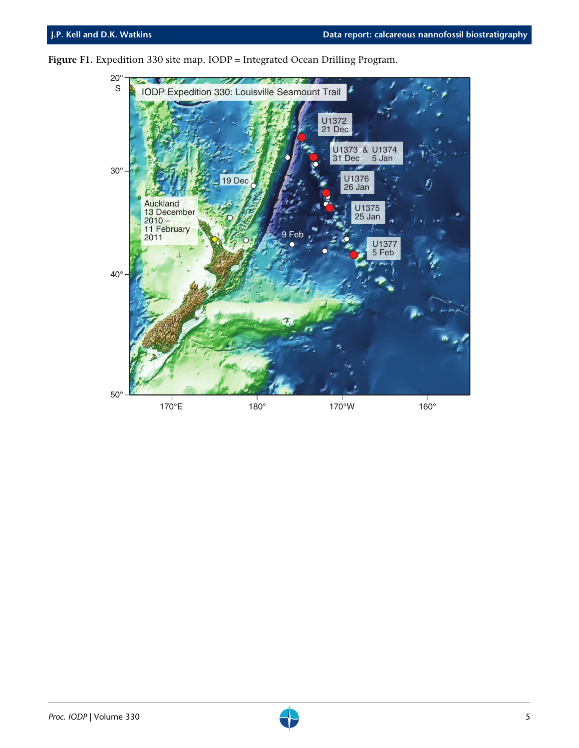

<span id="page-4-0"></span>Figure F1. Expedition 330 site map. IODP = Integrated Ocean Drilling Program.